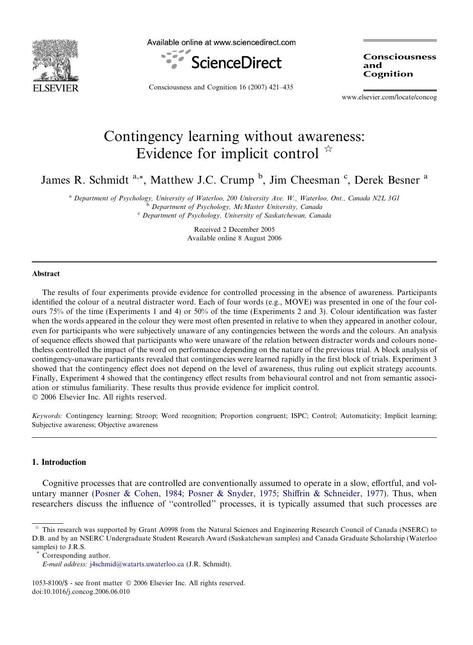

Available online at www.sciencedirect.com



Consciousness and Cognition

Consciousness and Cognition 16 (2007) 421–435

www.elsevier.com/locate/concog

# Contingency learning without awareness: Evidence for implicit control  $\dot{\mathbb{R}}$

James R. Schmidt <sup>a,\*</sup>, Matthew J.C. Crump <sup>b</sup>, Jim Cheesman <sup>c</sup>, Derek Besner <sup>a</sup>

<sup>a</sup> Department of Psychology, University of Waterloo, 200 University Ave. W., Waterloo, Ont., Canada N2L 3G1 <sup>b</sup> Department of Psychology, McMaster University, Canada <sup>c</sup> Department of Psychology, University of Saskatchewan, Canada

> Received 2 December 2005 Available online 8 August 2006

## Abstract

The results of four experiments provide evidence for controlled processing in the absence of awareness. Participants identified the colour of a neutral distracter word. Each of four words (e.g., MOVE) was presented in one of the four colours 75% of the time (Experiments 1 and 4) or 50% of the time (Experiments 2 and 3). Colour identification was faster when the words appeared in the colour they were most often presented in relative to when they appeared in another colour, even for participants who were subjectively unaware of any contingencies between the words and the colours. An analysis of sequence effects showed that participants who were unaware of the relation between distracter words and colours nonetheless controlled the impact of the word on performance depending on the nature of the previous trial. A block analysis of contingency-unaware participants revealed that contingencies were learned rapidly in the first block of trials. Experiment 3 showed that the contingency effect does not depend on the level of awareness, thus ruling out explicit strategy accounts. Finally, Experiment 4 showed that the contingency effect results from behavioural control and not from semantic association or stimulus familiarity. These results thus provide evidence for implicit control. © 2006 Elsevier Inc. All rights reserved.

Keywords: Contingency learning; Stroop; Word recognition; Proportion congruent; ISPC; Control; Automaticity; Implicit learning; Subjective awareness; Objective awareness

# 1. Introduction

Cognitive processes that are controlled are conventionally assumed to operate in a slow, effortful, and voluntary manner [\(Posner & Cohen, 1984; Posner & Snyder, 1975; Shiffrin & Schneider, 1977\)](#page-14-0). Thus, when researchers discuss the influence of ''controlled'' processes, it is typically assumed that such processes are

1053-8100/\$ - see front matter © 2006 Elsevier Inc. All rights reserved. doi:10.1016/j.concog.2006.06.010

 $*$  This research was supported by Grant A0998 from the Natural Sciences and Engineering Research Council of Canada (NSERC) to D.B. and by an NSERC Undergraduate Student Research Award (Saskatchewan samples) and Canada Graduate Scholarship (Waterloo samples) to J.R.S.

Corresponding author.

E-mail address: [j4schmid@watarts.uwaterloo.ca](mailto:j4schmid@watarts.uwaterloo.ca) (J.R. Schmidt).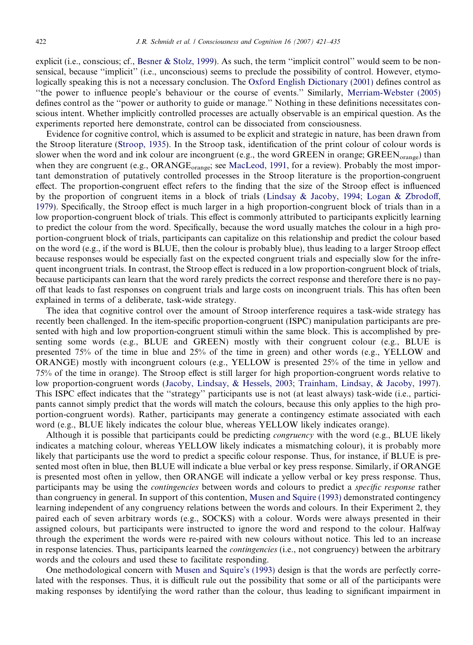explicit (i.e., conscious; cf., [Besner & Stolz, 1999](#page-13-0)). As such, the term "implicit control" would seem to be nonsensical, because ''implicit'' (i.e., unconscious) seems to preclude the possibility of control. However, etymologically speaking this is not a necessary conclusion. The [Oxford English Dictionary \(2001\)](#page-14-0) defines control as ''the power to influence people's behaviour or the course of events.'' Similarly, [Merriam-Webster \(2005\)](#page-14-0) defines control as the ''power or authority to guide or manage.'' Nothing in these definitions necessitates conscious intent. Whether implicitly controlled processes are actually observable is an empirical question. As the experiments reported here demonstrate, control can be dissociated from consciousness.

Evidence for cognitive control, which is assumed to be explicit and strategic in nature, has been drawn from the Stroop literature ([Stroop, 1935](#page-14-0)). In the Stroop task, identification of the print colour of colour words is slower when the word and ink colour are incongruent (e.g., the word GREEN in orange; GREEN<sub>orange</sub>) than when they are congruent (e.g., ORANGE<sub>orange</sub>; see [MacLeod, 1991](#page-14-0), for a review). Probably the most important demonstration of putatively controlled processes in the Stroop literature is the proportion-congruent effect. The proportion-congruent effect refers to the finding that the size of the Stroop effect is influenced by the proportion of congruent items in a block of trials ([Lindsay & Jacoby, 1994; Logan & Zbrodoff,](#page-14-0) [1979](#page-14-0)). Specifically, the Stroop effect is much larger in a high proportion-congruent block of trials than in a low proportion-congruent block of trials. This effect is commonly attributed to participants explicitly learning to predict the colour from the word. Specifically, because the word usually matches the colour in a high proportion-congruent block of trials, participants can capitalize on this relationship and predict the colour based on the word (e.g., if the word is BLUE, then the colour is probably blue), thus leading to a larger Stroop effect because responses would be especially fast on the expected congruent trials and especially slow for the infrequent incongruent trials. In contrast, the Stroop effect is reduced in a low proportion-congruent block of trials, because participants can learn that the word rarely predicts the correct response and therefore there is no payoff that leads to fast responses on congruent trials and large costs on incongruent trials. This has often been explained in terms of a deliberate, task-wide strategy.

The idea that cognitive control over the amount of Stroop interference requires a task-wide strategy has recently been challenged. In the item-specific proportion-congruent (ISPC) manipulation participants are presented with high and low proportion-congruent stimuli within the same block. This is accomplished by presenting some words (e.g., BLUE and GREEN) mostly with their congruent colour (e.g., BLUE is presented 75% of the time in blue and 25% of the time in green) and other words (e.g., YELLOW and ORANGE) mostly with incongruent colours (e.g., YELLOW is presented 25% of the time in yellow and 75% of the time in orange). The Stroop effect is still larger for high proportion-congruent words relative to low proportion-congruent words ([Jacoby, Lindsay, & Hessels, 2003; Trainham, Lindsay, & Jacoby, 1997](#page-14-0)). This ISPC effect indicates that the ''strategy'' participants use is not (at least always) task-wide (i.e., participants cannot simply predict that the words will match the colours, because this only applies to the high proportion-congruent words). Rather, participants may generate a contingency estimate associated with each word (e.g., BLUE likely indicates the colour blue, whereas YELLOW likely indicates orange).

Although it is possible that participants could be predicting *congruency* with the word (e.g., BLUE likely indicates a matching colour, whereas YELLOW likely indicates a mismatching colour), it is probably more likely that participants use the word to predict a specific colour response. Thus, for instance, if BLUE is presented most often in blue, then BLUE will indicate a blue verbal or key press response. Similarly, if ORANGE is presented most often in yellow, then ORANGE will indicate a yellow verbal or key press response. Thus, participants may be using the contingencies between words and colours to predict a specific response rather than congruency in general. In support of this contention, [Musen and Squire \(1993\)](#page-14-0) demonstrated contingency learning independent of any congruency relations between the words and colours. In their Experiment 2, they paired each of seven arbitrary words (e.g., SOCKS) with a colour. Words were always presented in their assigned colours, but participants were instructed to ignore the word and respond to the colour. Halfway through the experiment the words were re-paired with new colours without notice. This led to an increase in response latencies. Thus, participants learned the *contingencies* (i.e., not congruency) between the arbitrary words and the colours and used these to facilitate responding.

One methodological concern with [Musen and Squire's \(1993\)](#page-14-0) design is that the words are perfectly correlated with the responses. Thus, it is difficult rule out the possibility that some or all of the participants were making responses by identifying the word rather than the colour, thus leading to significant impairment in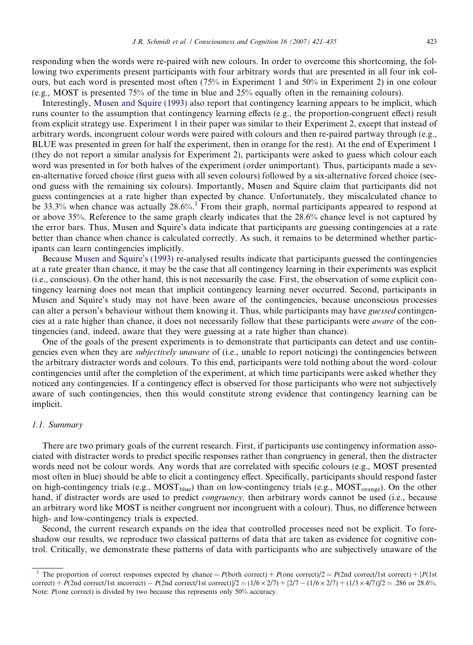responding when the words were re-paired with new colours. In order to overcome this shortcoming, the following two experiments present participants with four arbitrary words that are presented in all four ink colours, but each word is presented most often (75% in Experiment 1 and 50% in Experiment 2) in one colour (e.g., MOST is presented 75% of the time in blue and 25% equally often in the remaining colours).

Interestingly, [Musen and Squire \(1993\)](#page-14-0) also report that contingency learning appears to be implicit, which runs counter to the assumption that contingency learning effects (e.g., the proportion-congruent effect) result from explicit strategy use. Experiment 1 in their paper was similar to their Experiment 2, except that instead of arbitrary words, incongruent colour words were paired with colours and then re-paired partway through (e.g., BLUE was presented in green for half the experiment, then in orange for the rest). At the end of Experiment 1 (they do not report a similar analysis for Experiment 2), participants were asked to guess which colour each word was presented in for both halves of the experiment (order unimportant). Thus, participants made a seven-alternative forced choice (first guess with all seven colours) followed by a six-alternative forced choice (second guess with the remaining six colours). Importantly, Musen and Squire claim that participants did not guess contingencies at a rate higher than expected by chance. Unfortunately, they miscalculated chance to be 33.3% when chance was actually  $28.6\%$ .<sup>1</sup> From their graph, normal participants appeared to respond at or above 35%. Reference to the same graph clearly indicates that the 28.6% chance level is not captured by the error bars. Thus, Musen and Squire's data indicate that participants are guessing contingencies at a rate better than chance when chance is calculated correctly. As such, it remains to be determined whether participants can learn contingencies implicitly.

Because [Musen and Squire's \(1993\)](#page-14-0) re-analysed results indicate that participants guessed the contingencies at a rate greater than chance, it may be the case that all contingency learning in their experiments was explicit (i.e., conscious). On the other hand, this is not necessarily the case. First, the observation of some explicit contingency learning does not mean that implicit contingency learning never occurred. Second, participants in Musen and Squire's study may not have been aware of the contingencies, because unconscious processes can alter a person's behaviour without them knowing it. Thus, while participants may have guessed contingencies at a rate higher than chance, it does not necessarily follow that these participants were aware of the contingencies (and, indeed, aware that they were guessing at a rate higher than chance).

One of the goals of the present experiments is to demonstrate that participants can detect and use contingencies even when they are subjectively unaware of (i.e., unable to report noticing) the contingencies between the arbitrary distracter words and colours. To this end, participants were told nothing about the word–colour contingencies until after the completion of the experiment, at which time participants were asked whether they noticed any contingencies. If a contingency effect is observed for those participants who were not subjectively aware of such contingencies, then this would constitute strong evidence that contingency learning can be implicit.

### 1.1. Summary

There are two primary goals of the current research. First, if participants use contingency information associated with distracter words to predict specific responses rather than congruency in general, then the distracter words need not be colour words. Any words that are correlated with specific colours (e.g., MOST presented most often in blue) should be able to elicit a contingency effect. Specifically, participants should respond faster on high-contingency trials (e.g.,  $MOST_{blue}$ ) than on low-contingency trials (e.g.,  $MOST_{orange}$ ). On the other hand, if distracter words are used to predict *congruency*, then arbitrary words cannot be used (i.e., because an arbitrary word like MOST is neither congruent nor incongruent with a colour). Thus, no difference between high- and low-contingency trials is expected.

Second, the current research expands on the idea that controlled processes need not be explicit. To foreshadow our results, we reproduce two classical patterns of data that are taken as evidence for cognitive control. Critically, we demonstrate these patterns of data with participants who are subjectively unaware of the

<sup>&</sup>lt;sup>1</sup> The proportion of correct responses expected by chance =  $P(\text{both correct}) + P(\text{one correct})/2 = P(\text{2nd correct/1st correct}) + [P(\text{1st$ correct) + P(2nd correct/1st incorrect) - P(2nd correct/1st correct) $/2 = (1/6 \times 2/7) + (2/7 - (1/6 \times 2/7) + (1/3 \times 4/7)$  $/2 = .286$  or 28.6%. Note: P(one correct) is divided by two because this represents only 50% accuracy.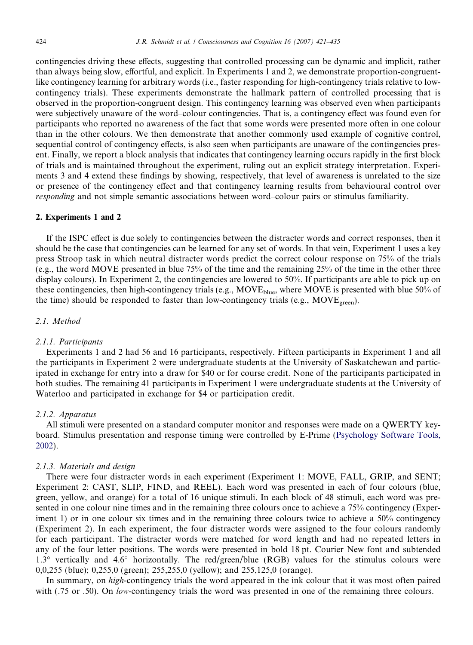contingencies driving these effects, suggesting that controlled processing can be dynamic and implicit, rather than always being slow, effortful, and explicit. In Experiments 1 and 2, we demonstrate proportion-congruentlike contingency learning for arbitrary words (i.e., faster responding for high-contingency trials relative to lowcontingency trials). These experiments demonstrate the hallmark pattern of controlled processing that is observed in the proportion-congruent design. This contingency learning was observed even when participants were subjectively unaware of the word–colour contingencies. That is, a contingency effect was found even for participants who reported no awareness of the fact that some words were presented more often in one colour than in the other colours. We then demonstrate that another commonly used example of cognitive control, sequential control of contingency effects, is also seen when participants are unaware of the contingencies present. Finally, we report a block analysis that indicates that contingency learning occurs rapidly in the first block of trials and is maintained throughout the experiment, ruling out an explicit strategy interpretation. Experiments 3 and 4 extend these findings by showing, respectively, that level of awareness is unrelated to the size or presence of the contingency effect and that contingency learning results from behavioural control over responding and not simple semantic associations between word–colour pairs or stimulus familiarity.

## 2. Experiments 1 and 2

If the ISPC effect is due solely to contingencies between the distracter words and correct responses, then it should be the case that contingencies can be learned for any set of words. In that vein, Experiment 1 uses a key press Stroop task in which neutral distracter words predict the correct colour response on 75% of the trials (e.g., the word MOVE presented in blue 75% of the time and the remaining 25% of the time in the other three display colours). In Experiment 2, the contingencies are lowered to 50%. If participants are able to pick up on these contingencies, then high-contingency trials (e.g.,  $Move$ <sub>blue</sub>, where MOVE is presented with blue 50% of the time) should be responded to faster than low-contingency trials (e.g., MOVE<sub>green</sub>).

# 2.1. Method

## 2.1.1. Participants

Experiments 1 and 2 had 56 and 16 participants, respectively. Fifteen participants in Experiment 1 and all the participants in Experiment 2 were undergraduate students at the University of Saskatchewan and participated in exchange for entry into a draw for \$40 or for course credit. None of the participants participated in both studies. The remaining 41 participants in Experiment 1 were undergraduate students at the University of Waterloo and participated in exchange for \$4 or participation credit.

#### 2.1.2. Apparatus

All stimuli were presented on a standard computer monitor and responses were made on a QWERTY keyboard. Stimulus presentation and response timing were controlled by E-Prime ([Psychology Software Tools,](#page-14-0) [2002](#page-14-0)).

## 2.1.3. Materials and design

There were four distracter words in each experiment (Experiment 1: MOVE, FALL, GRIP, and SENT; Experiment 2: CAST, SLIP, FIND, and REEL). Each word was presented in each of four colours (blue, green, yellow, and orange) for a total of 16 unique stimuli. In each block of 48 stimuli, each word was presented in one colour nine times and in the remaining three colours once to achieve a 75% contingency (Experiment 1) or in one colour six times and in the remaining three colours twice to achieve a 50% contingency (Experiment 2). In each experiment, the four distracter words were assigned to the four colours randomly for each participant. The distracter words were matched for word length and had no repeated letters in any of the four letter positions. The words were presented in bold 18 pt. Courier New font and subtended  $1.3^{\circ}$  vertically and  $4.6^{\circ}$  horizontally. The red/green/blue (RGB) values for the stimulus colours were 0,0,255 (blue); 0,255,0 (green); 255,255,0 (yellow); and 255,125,0 (orange).

In summary, on *high-contingency trials the word appeared in the ink colour that it was most often paired* with (.75 or .50). On low-contingency trials the word was presented in one of the remaining three colours.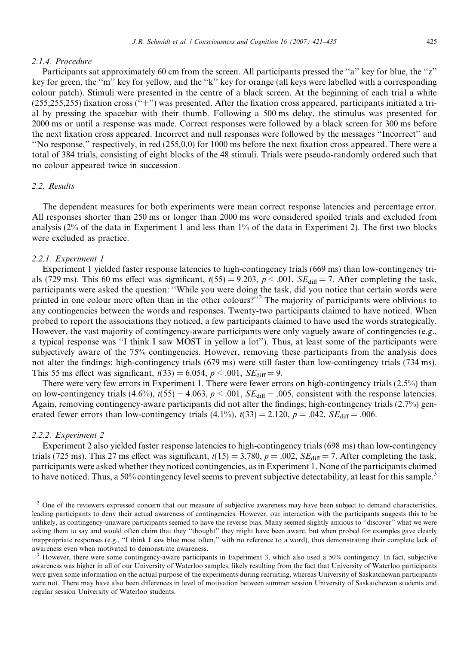## 2.1.4. Procedure

Participants sat approximately 60 cm from the screen. All participants pressed the "a" key for blue, the "z" key for green, the ''m'' key for yellow, and the ''k'' key for orange (all keys were labelled with a corresponding colour patch). Stimuli were presented in the centre of a black screen. At the beginning of each trial a white (255,255,255) fixation cross (''+'') was presented. After the fixation cross appeared, participants initiated a trial by pressing the spacebar with their thumb. Following a 500 ms delay, the stimulus was presented for 2000 ms or until a response was made. Correct responses were followed by a black screen for 300 ms before the next fixation cross appeared. Incorrect and null responses were followed by the messages ''Incorrect'' and ''No response,'' respectively, in red (255,0,0) for 1000 ms before the next fixation cross appeared. There were a total of 384 trials, consisting of eight blocks of the 48 stimuli. Trials were pseudo-randomly ordered such that no colour appeared twice in succession.

# 2.2. Results

The dependent measures for both experiments were mean correct response latencies and percentage error. All responses shorter than 250 ms or longer than 2000 ms were considered spoiled trials and excluded from analysis (2% of the data in Experiment 1 and less than 1% of the data in Experiment 2). The first two blocks were excluded as practice.

#### 2.2.1. Experiment 1

Experiment 1 yielded faster response latencies to high-contingency trials (669 ms) than low-contingency trials (729 ms). This 60 ms effect was significant,  $t(55) = 9.203$ ,  $p < .001$ ,  $SE_{diff} = 7$ . After completing the task, participants were asked the question: ''While you were doing the task, did you notice that certain words were printed in one colour more often than in the other colours?"<sup>2</sup> The majority of participants were oblivious to any contingencies between the words and responses. Twenty-two participants claimed to have noticed. When probed to report the associations they noticed, a few participants claimed to have used the words strategically. However, the vast majority of contingency-aware participants were only vaguely aware of contingencies (e.g., a typical response was ''I think I saw MOST in yellow a lot''). Thus, at least some of the participants were subjectively aware of the 75% contingencies. However, removing these participants from the analysis does not alter the findings; high-contingency trials (679 ms) were still faster than low-contingency trials (734 ms). This 55 ms effect was significant,  $t(33) = 6.054$ ,  $p < .001$ ,  $SE<sub>diff</sub> = 9$ .

There were very few errors in Experiment 1. There were fewer errors on high-contingency trials (2.5%) than on low-contingency trials  $(4.6\%)$ ,  $t(55) = 4.063$ ,  $p < .001$ ,  $SE_{\text{diff}} = .005$ , consistent with the response latencies. Again, removing contingency-aware participants did not alter the findings; high-contingency trials (2.7%) generated fewer errors than low-contingency trials  $(4.1\%)$ ,  $t(33) = 2.120$ ,  $p = .042$ ,  $SE_{diff} = .006$ .

## 2.2.2. Experiment 2

Experiment 2 also yielded faster response latencies to high-contingency trials (698 ms) than low-contingency trials (725 ms). This 27 ms effect was significant,  $t(15) = 3.780$ ,  $p = .002$ ,  $SE_{\text{diff}} = 7$ . After completing the task, participants were asked whether they noticed contingencies, as in Experiment 1. None of the participants claimed to have noticed. Thus, a 50% contingency level seems to prevent subjective detectability, at least for this sample.<sup>3</sup>

<sup>&</sup>lt;sup>2</sup> One of the reviewers expressed concern that our measure of subjective awareness may have been subject to demand characteristics, leading participants to deny their actual awareness of contingencies. However, our interaction with the participants suggests this to be unlikely, as contingency-unaware participants seemed to have the reverse bias. Many seemed slightly anxious to ''discover'' what we were asking them to say and would often claim that they ''thought'' they might have been aware, but when probed for examples gave clearly inappropriate responses (e.g., "I think I saw blue most often," with no reference to a word), thus demonstrating their complete lack of awareness even when motivated to demonstrate awareness.

 $3$  However, there were some contingency-aware participants in Experiment 3, which also used a 50% contingency. In fact, subjective awareness was higher in all of our University of Waterloo samples, likely resulting from the fact that University of Waterloo participants were given some information on the actual purpose of the experiments during recruiting, whereas University of Saskatchewan participants were not. There may have also been differences in level of motivation between summer session University of Saskatchewan students and regular session University of Waterloo students.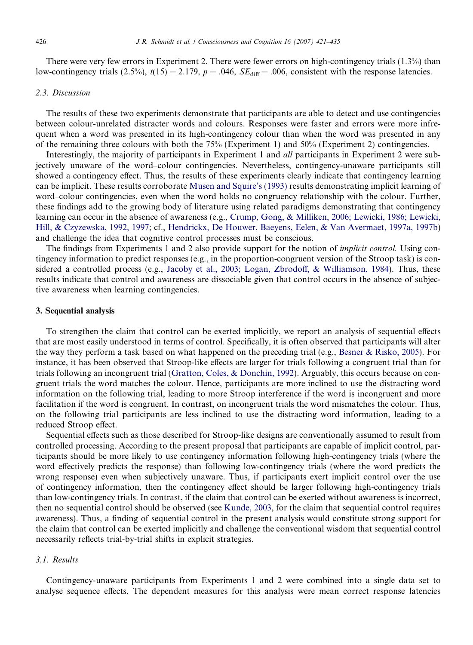There were very few errors in Experiment 2. There were fewer errors on high-contingency trials (1.3%) than low-contingency trials (2.5%),  $t(15) = 2.179$ ,  $p = .046$ ,  $SE_{diff} = .006$ , consistent with the response latencies.

# 2.3. Discussion

The results of these two experiments demonstrate that participants are able to detect and use contingencies between colour-unrelated distracter words and colours. Responses were faster and errors were more infrequent when a word was presented in its high-contingency colour than when the word was presented in any of the remaining three colours with both the 75% (Experiment 1) and 50% (Experiment 2) contingencies.

Interestingly, the majority of participants in Experiment 1 and *all* participants in Experiment 2 were subjectively unaware of the word–colour contingencies. Nevertheless, contingency-unaware participants still showed a contingency effect. Thus, the results of these experiments clearly indicate that contingency learning can be implicit. These results corroborate [Musen and Squire's \(1993\)](#page-14-0) results demonstrating implicit learning of word–colour contingencies, even when the word holds no congruency relationship with the colour. Further, these findings add to the growing body of literature using related paradigms demonstrating that contingency learning can occur in the absence of awareness (e.g., [Crump, Gong, & Milliken, 2006; Lewicki, 1986; Lewicki,](#page-13-0) [Hill, & Czyzewska, 1992, 1997;](#page-13-0) cf., [Hendrickx, De Houwer, Baeyens, Eelen, & Van Avermaet, 1997a, 1997b](#page-14-0)) and challenge the idea that cognitive control processes must be conscious.

The findings from Experiments 1 and 2 also provide support for the notion of *implicit control*. Using contingency information to predict responses (e.g., in the proportion-congruent version of the Stroop task) is con-sidered a controlled process (e.g., [Jacoby et al., 2003; Logan, Zbrodoff, & Williamson, 1984\)](#page-14-0). Thus, these results indicate that control and awareness are dissociable given that control occurs in the absence of subjective awareness when learning contingencies.

## 3. Sequential analysis

To strengthen the claim that control can be exerted implicitly, we report an analysis of sequential effects that are most easily understood in terms of control. Specifically, it is often observed that participants will alter the way they perform a task based on what happened on the preceding trial (e.g., [Besner & Risko, 2005\)](#page-13-0). For instance, it has been observed that Stroop-like effects are larger for trials following a congruent trial than for trials following an incongruent trial [\(Gratton, Coles, & Donchin, 1992](#page-14-0)). Arguably, this occurs because on congruent trials the word matches the colour. Hence, participants are more inclined to use the distracting word information on the following trial, leading to more Stroop interference if the word is incongruent and more facilitation if the word is congruent. In contrast, on incongruent trials the word mismatches the colour. Thus, on the following trial participants are less inclined to use the distracting word information, leading to a reduced Stroop effect.

Sequential effects such as those described for Stroop-like designs are conventionally assumed to result from controlled processing. According to the present proposal that participants are capable of implicit control, participants should be more likely to use contingency information following high-contingency trials (where the word effectively predicts the response) than following low-contingency trials (where the word predicts the wrong response) even when subjectively unaware. Thus, if participants exert implicit control over the use of contingency information, then the contingency effect should be larger following high-contingency trials than low-contingency trials. In contrast, if the claim that control can be exerted without awareness is incorrect, then no sequential control should be observed (see [Kunde, 2003,](#page-14-0) for the claim that sequential control requires awareness). Thus, a finding of sequential control in the present analysis would constitute strong support for the claim that control can be exerted implicitly and challenge the conventional wisdom that sequential control necessarily reflects trial-by-trial shifts in explicit strategies.

# 3.1. Results

Contingency-unaware participants from Experiments 1 and 2 were combined into a single data set to analyse sequence effects. The dependent measures for this analysis were mean correct response latencies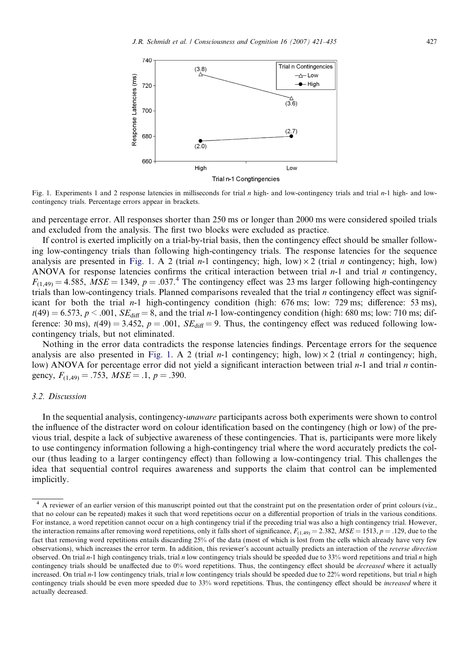

Fig. 1. Experiments 1 and 2 response latencies in milliseconds for trial *n* high- and low-contingency trials and trial *n*-1 high- and lowcontingency trials. Percentage errors appear in brackets.

and percentage error. All responses shorter than 250 ms or longer than 2000 ms were considered spoiled trials and excluded from the analysis. The first two blocks were excluded as practice.

If control is exerted implicitly on a trial-by-trial basis, then the contingency effect should be smaller following low-contingency trials than following high-contingency trials. The response latencies for the sequence analysis are presented in Fig. 1. A 2 (trial *n*-1 contingency; high, low)  $\times$  2 (trial *n* contingency; high, low) ANOVA for response latencies confirms the critical interaction between trial  $n-1$  and trial n contingency,  $F_{(1,49)} = 4.585$ ,  $\overrightarrow{MSE} = 1349$ ,  $p = .037$ .<sup>4</sup> The contingency effect was 23 ms larger following high-contingency trials than low-contingency trials. Planned comparisons revealed that the trial  $n$  contingency effect was significant for both the trial n-1 high-contingency condition (high: 676 ms; low: 729 ms; difference: 53 ms),  $t(49) = 6.573$ ,  $p < .001$ ,  $SE_{\text{diff}} = 8$ , and the trial n-1 low-contingency condition (high: 680 ms; low: 710 ms; difference: 30 ms),  $t(49) = 3.452$ ,  $p = .001$ ,  $SE_{\text{diff}} = 9$ . Thus, the contingency effect was reduced following lowcontingency trials, but not eliminated.

Nothing in the error data contradicts the response latencies findings. Percentage errors for the sequence analysis are also presented in Fig. 1. A 2 (trial *n*-1 contingency; high, low)  $\times$  2 (trial *n* contingency; high, low) ANOVA for percentage error did not yield a significant interaction between trial  $n-1$  and trial n contingency,  $F_{(1,49)} = .753$ ,  $MSE = .1$ ,  $p = .390$ .

# 3.2. Discussion

In the sequential analysis, contingency-unaware participants across both experiments were shown to control the influence of the distracter word on colour identification based on the contingency (high or low) of the previous trial, despite a lack of subjective awareness of these contingencies. That is, participants were more likely to use contingency information following a high-contingency trial where the word accurately predicts the colour (thus leading to a larger contingency effect) than following a low-contingency trial. This challenges the idea that sequential control requires awareness and supports the claim that control can be implemented implicitly.

<sup>4</sup> A reviewer of an earlier version of this manuscript pointed out that the constraint put on the presentation order of print colours (viz., that no colour can be repeated) makes it such that word repetitions occur on a differential proportion of trials in the various conditions. For instance, a word repetition cannot occur on a high contingency trial if the preceding trial was also a high contingency trial. However, the interaction remains after removing word repetitions, only it falls short of significance,  $F_{(1,49)} = 2.382$ ,  $MSE = 1513$ ,  $p = .129$ , due to the fact that removing word repetitions entails discarding 25% of the data (most of which is lost from the cells which already have very few observations), which increases the error term. In addition, this reviewer's account actually predicts an interaction of the reverse direction observed. On trial  $n-1$  high contingency trials, trial n low contingency trials should be speeded due to 33% word repetitions and trial n high contingency trials should be unaffected due to 0% word repetitions. Thus, the contingency effect should be decreased where it actually increased. On trial n-1 low contingency trials, trial n low contingency trials should be speeded due to 22% word repetitions, but trial n high contingency trials should be even more speeded due to 33% word repetitions. Thus, the contingency effect should be increased where it actually decreased.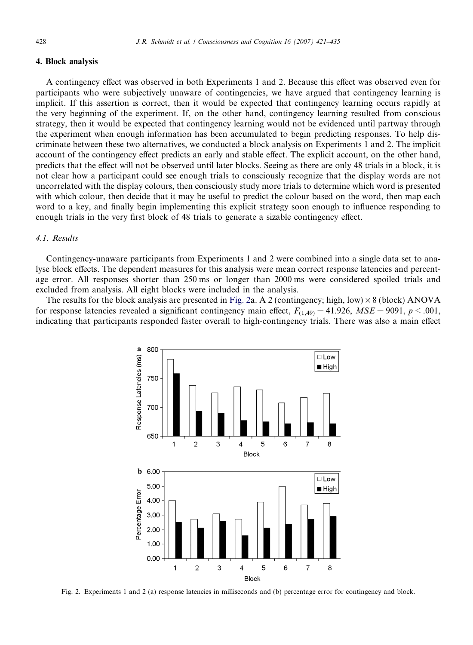## <span id="page-7-0"></span>4. Block analysis

A contingency effect was observed in both Experiments 1 and 2. Because this effect was observed even for participants who were subjectively unaware of contingencies, we have argued that contingency learning is implicit. If this assertion is correct, then it would be expected that contingency learning occurs rapidly at the very beginning of the experiment. If, on the other hand, contingency learning resulted from conscious strategy, then it would be expected that contingency learning would not be evidenced until partway through the experiment when enough information has been accumulated to begin predicting responses. To help discriminate between these two alternatives, we conducted a block analysis on Experiments 1 and 2. The implicit account of the contingency effect predicts an early and stable effect. The explicit account, on the other hand, predicts that the effect will not be observed until later blocks. Seeing as there are only 48 trials in a block, it is not clear how a participant could see enough trials to consciously recognize that the display words are not uncorrelated with the display colours, then consciously study more trials to determine which word is presented with which colour, then decide that it may be useful to predict the colour based on the word, then map each word to a key, and finally begin implementing this explicit strategy soon enough to influence responding to enough trials in the very first block of 48 trials to generate a sizable contingency effect.

# 4.1. Results

Contingency-unaware participants from Experiments 1 and 2 were combined into a single data set to analyse block effects. The dependent measures for this analysis were mean correct response latencies and percentage error. All responses shorter than 250 ms or longer than 2000 ms were considered spoiled trials and excluded from analysis. All eight blocks were included in the analysis.

The results for the block analysis are presented in Fig. 2a. A 2 (contingency; high, low)  $\times$  8 (block) ANOVA for response latencies revealed a significant contingency main effect,  $F_{(1,49)} = 41.926$ ,  $MSE = 9091$ ,  $p < .001$ , indicating that participants responded faster overall to high-contingency trials. There was also a main effect



Fig. 2. Experiments 1 and 2 (a) response latencies in milliseconds and (b) percentage error for contingency and block.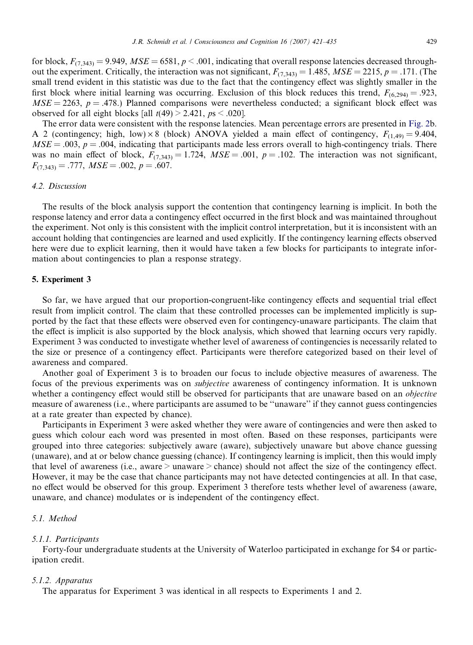for block,  $F_{(7,343)} = 9.949$ ,  $MSE = 6581$ ,  $p < .001$ , indicating that overall response latencies decreased throughout the experiment. Critically, the interaction was not significant,  $F_{(7,343)} = 1.485$ ,  $MSE = 2215$ ,  $p = .171$ . (The small trend evident in this statistic was due to the fact that the contingency effect was slightly smaller in the first block where initial learning was occurring. Exclusion of this block reduces this trend,  $F_{(6,294)} = .923$ ,  $MSE = 2263$ ,  $p = .478$ .) Planned comparisons were nevertheless conducted; a significant block effect was observed for all eight blocks [all  $t(49) > 2.421$ ,  $ps < .020$ ].

The error data were consistent with the response latencies. Mean percentage errors are presented in [Fig. 2b](#page-7-0). A 2 (contingency; high, low)  $\times$  8 (block) ANOVA yielded a main effect of contingency,  $F_{(1,49)} = 9.404$ ,  $MSE = .003$ ,  $p = .004$ , indicating that participants made less errors overall to high-contingency trials. There was no main effect of block,  $F_{(7,343)} = 1.724$ ,  $MSE = .001$ ,  $p = .102$ . The interaction was not significant,  $F_{(7,343)} = .777$ ,  $MSE = .002$ ,  $p = .607$ .

# 4.2. Discussion

The results of the block analysis support the contention that contingency learning is implicit. In both the response latency and error data a contingency effect occurred in the first block and was maintained throughout the experiment. Not only is this consistent with the implicit control interpretation, but it is inconsistent with an account holding that contingencies are learned and used explicitly. If the contingency learning effects observed here were due to explicit learning, then it would have taken a few blocks for participants to integrate information about contingencies to plan a response strategy.

## 5. Experiment 3

So far, we have argued that our proportion-congruent-like contingency effects and sequential trial effect result from implicit control. The claim that these controlled processes can be implemented implicitly is supported by the fact that these effects were observed even for contingency-unaware participants. The claim that the effect is implicit is also supported by the block analysis, which showed that learning occurs very rapidly. Experiment 3 was conducted to investigate whether level of awareness of contingencies is necessarily related to the size or presence of a contingency effect. Participants were therefore categorized based on their level of awareness and compared.

Another goal of Experiment 3 is to broaden our focus to include objective measures of awareness. The focus of the previous experiments was on subjective awareness of contingency information. It is unknown whether a contingency effect would still be observed for participants that are unaware based on an *objective* measure of awareness (i.e., where participants are assumed to be ''unaware'' if they cannot guess contingencies at a rate greater than expected by chance).

Participants in Experiment 3 were asked whether they were aware of contingencies and were then asked to guess which colour each word was presented in most often. Based on these responses, participants were grouped into three categories: subjectively aware (aware), subjectively unaware but above chance guessing (unaware), and at or below chance guessing (chance). If contingency learning is implicit, then this would imply that level of awareness (i.e., aware > unaware > chance) should not affect the size of the contingency effect. However, it may be the case that chance participants may not have detected contingencies at all. In that case, no effect would be observed for this group. Experiment 3 therefore tests whether level of awareness (aware, unaware, and chance) modulates or is independent of the contingency effect.

# 5.1. Method

## 5.1.1. Participants

Forty-four undergraduate students at the University of Waterloo participated in exchange for \$4 or participation credit.

## 5.1.2. Apparatus

The apparatus for Experiment 3 was identical in all respects to Experiments 1 and 2.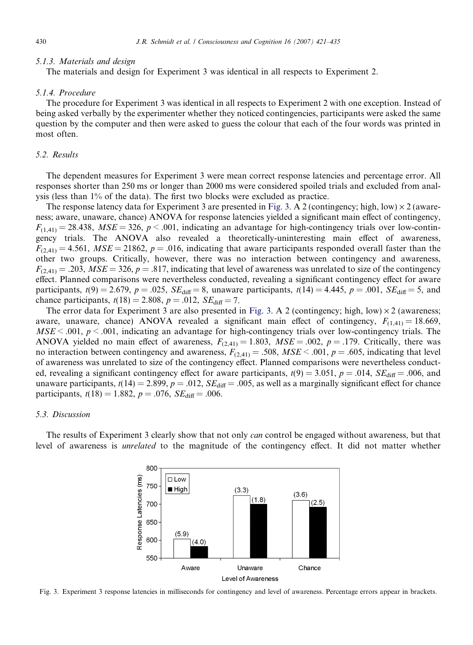## 5.1.3. Materials and design

The materials and design for Experiment 3 was identical in all respects to Experiment 2.

## 5.1.4. Procedure

The procedure for Experiment 3 was identical in all respects to Experiment 2 with one exception. Instead of being asked verbally by the experimenter whether they noticed contingencies, participants were asked the same question by the computer and then were asked to guess the colour that each of the four words was printed in most often.

# 5.2. Results

The dependent measures for Experiment 3 were mean correct response latencies and percentage error. All responses shorter than 250 ms or longer than 2000 ms were considered spoiled trials and excluded from analysis (less than 1% of the data). The first two blocks were excluded as practice.

The response latency data for Experiment 3 are presented in Fig. 3. A 2 (contingency; high, low)  $\times$  2 (awareness; aware, unaware, chance) ANOVA for response latencies yielded a significant main effect of contingency,  $F_{(1,41)} = 28.438$ ,  $MSE = 326$ ,  $p < .001$ , indicating an advantage for high-contingency trials over low-contingency trials. The ANOVA also revealed a theoretically-uninteresting main effect of awareness,  $F_{(2,41)} = 4.561$ ,  $MSE = 21862$ ,  $p = .016$ , indicating that aware participants responded overall faster than the other two groups. Critically, however, there was no interaction between contingency and awareness,  $F_{(2,41)} = .203$ ,  $MSE = 326$ ,  $p = .817$ , indicating that level of awareness was unrelated to size of the contingency effect. Planned comparisons were nevertheless conducted, revealing a significant contingency effect for aware participants,  $t(9) = 2.679$ ,  $p = .025$ ,  $SE_{\text{diff}} = 8$ , unaware participants,  $t(14) = 4.445$ ,  $p = .001$ ,  $SE_{\text{diff}} = 5$ , and chance participants,  $t(18) = 2.808$ ,  $p = .012$ ,  $SE_{diff} = 7$ .

The error data for Experiment 3 are also presented in Fig. 3. A 2 (contingency; high, low)  $\times$  2 (awareness; aware, unaware, chance) ANOVA revealed a significant main effect of contingency,  $F_{(1,41)} = 18.669$ ,  $MSE < .001$ ,  $p < .001$ , indicating an advantage for high-contingency trials over low-contingency trials. The ANOVA yielded no main effect of awareness,  $F_{(2,41)} = 1.803$ ,  $MSE = .002$ ,  $p = .179$ . Critically, there was no interaction between contingency and awareness,  $F_{(2,41)} = .508$ ,  $MSE < .001$ ,  $p = .605$ , indicating that level of awareness was unrelated to size of the contingency effect. Planned comparisons were nevertheless conducted, revealing a significant contingency effect for aware participants,  $t(9) = 3.051$ ,  $p = .014$ ,  $SE_{diff} = .006$ , and unaware participants,  $t(14) = 2.899$ ,  $p = .012$ ,  $SE_{diff} = .005$ , as well as a marginally significant effect for chance participants,  $t(18) = 1.882$ ,  $p = .076$ ,  $SE_{diff} = .006$ .

# 5.3. Discussion

The results of Experiment 3 clearly show that not only *can* control be engaged without awareness, but that level of awareness is unrelated to the magnitude of the contingency effect. It did not matter whether



Fig. 3. Experiment 3 response latencies in milliseconds for contingency and level of awareness. Percentage errors appear in brackets.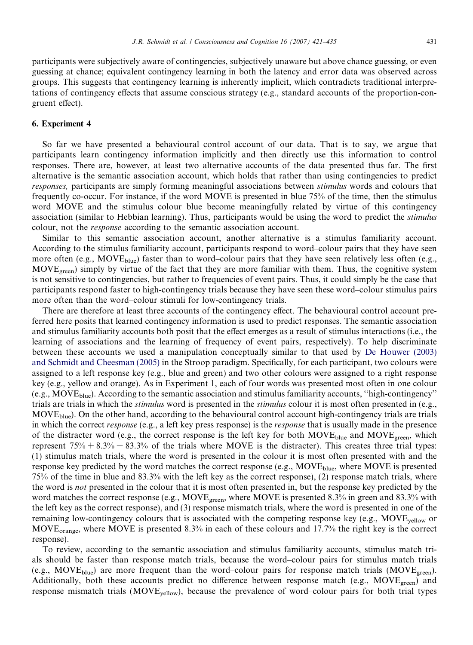participants were subjectively aware of contingencies, subjectively unaware but above chance guessing, or even guessing at chance; equivalent contingency learning in both the latency and error data was observed across groups. This suggests that contingency learning is inherently implicit, which contradicts traditional interpretations of contingency effects that assume conscious strategy (e.g., standard accounts of the proportion-congruent effect).

# 6. Experiment 4

So far we have presented a behavioural control account of our data. That is to say, we argue that participants learn contingency information implicitly and then directly use this information to control responses. There are, however, at least two alternative accounts of the data presented thus far. The first alternative is the semantic association account, which holds that rather than using contingencies to predict responses, participants are simply forming meaningful associations between stimulus words and colours that frequently co-occur. For instance, if the word MOVE is presented in blue 75% of the time, then the stimulus word MOVE and the stimulus colour blue become meaningfully related by virtue of this contingency association (similar to Hebbian learning). Thus, participants would be using the word to predict the stimulus colour, not the response according to the semantic association account.

Similar to this semantic association account, another alternative is a stimulus familiarity account. According to the stimulus familiarity account, participants respond to word–colour pairs that they have seen more often (e.g.,  $\text{MOVE}_{\text{blue}}$ ) faster than to word–colour pairs that they have seen relatively less often (e.g.,  $Move<sub>green</sub>$ ) simply by virtue of the fact that they are more familiar with them. Thus, the cognitive system is not sensitive to contingencies, but rather to frequencies of event pairs. Thus, it could simply be the case that participants respond faster to high-contingency trials because they have seen these word–colour stimulus pairs more often than the word–colour stimuli for low-contingency trials.

There are therefore at least three accounts of the contingency effect. The behavioural control account preferred here posits that learned contingency information is used to predict responses. The semantic association and stimulus familiarity accounts both posit that the effect emerges as a result of stimulus interactions (i.e., the learning of associations and the learning of frequency of event pairs, respectively). To help discriminate between these accounts we used a manipulation conceptually similar to that used by [De Houwer \(2003\)](#page-13-0) [and Schmidt and Cheesman \(2005\)](#page-13-0) in the Stroop paradigm. Specifically, for each participant, two colours were assigned to a left response key (e.g., blue and green) and two other colours were assigned to a right response key (e.g., yellow and orange). As in Experiment 1, each of four words was presented most often in one colour (e.g., MOVEblue). According to the semantic association and stimulus familiarity accounts, ''high-contingency'' trials are trials in which the *stimulus* word is presented in the *stimulus* colour it is most often presented in (e.g., MOVEblue). On the other hand, according to the behavioural control account high-contingency trials are trials in which the correct response (e.g., a left key press response) is the response that is usually made in the presence of the distracter word (e.g., the correct response is the left key for both  $\text{MOVE}_{\text{blue}}$  and  $\text{MOVE}_{\text{green}}$ , which represent  $75\% + 8.3\% = 83.3\%$  of the trials where MOVE is the distracter). This creates three trial types: (1) stimulus match trials, where the word is presented in the colour it is most often presented with and the response key predicted by the word matches the correct response (e.g., MOVE<sub>blue</sub>, where MOVE is presented 75% of the time in blue and 83.3% with the left key as the correct response), (2) response match trials, where the word is not presented in the colour that it is most often presented in, but the response key predicted by the word matches the correct response (e.g., MOVE<sub>green</sub>, where MOVE is presented 8.3% in green and 83.3% with the left key as the correct response), and (3) response mismatch trials, where the word is presented in one of the remaining low-contingency colours that is associated with the competing response key (e.g., MOVE<sub>vellow</sub> or MOVE<sub>orange</sub>, where MOVE is presented 8.3% in each of these colours and 17.7% the right key is the correct response).

To review, according to the semantic association and stimulus familiarity accounts, stimulus match trials should be faster than response match trials, because the word–colour pairs for stimulus match trials (e.g., MOVE<sub>blue</sub>) are more frequent than the word–colour pairs for response match trials (MOVE<sub>green</sub>). Additionally, both these accounts predict no difference between response match (e.g., MOVE<sub>green</sub>) and response mismatch trials (MOVE<sub>vellow</sub>), because the prevalence of word–colour pairs for both trial types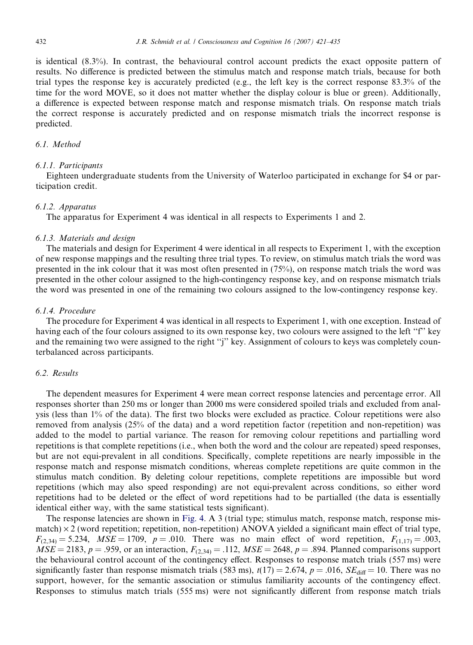is identical (8.3%). In contrast, the behavioural control account predicts the exact opposite pattern of results. No difference is predicted between the stimulus match and response match trials, because for both trial types the response key is accurately predicted (e.g., the left key is the correct response 83.3% of the time for the word MOVE, so it does not matter whether the display colour is blue or green). Additionally, a difference is expected between response match and response mismatch trials. On response match trials the correct response is accurately predicted and on response mismatch trials the incorrect response is predicted.

## 6.1. Method

## 6.1.1. Participants

Eighteen undergraduate students from the University of Waterloo participated in exchange for \$4 or participation credit.

# 6.1.2. Apparatus

The apparatus for Experiment 4 was identical in all respects to Experiments 1 and 2.

## 6.1.3. Materials and design

The materials and design for Experiment 4 were identical in all respects to Experiment 1, with the exception of new response mappings and the resulting three trial types. To review, on stimulus match trials the word was presented in the ink colour that it was most often presented in (75%), on response match trials the word was presented in the other colour assigned to the high-contingency response key, and on response mismatch trials the word was presented in one of the remaining two colours assigned to the low-contingency response key.

## 6.1.4. Procedure

The procedure for Experiment 4 was identical in all respects to Experiment 1, with one exception. Instead of having each of the four colours assigned to its own response key, two colours were assigned to the left "f" key and the remaining two were assigned to the right "j" key. Assignment of colours to keys was completely counterbalanced across participants.

# 6.2. Results

The dependent measures for Experiment 4 were mean correct response latencies and percentage error. All responses shorter than 250 ms or longer than 2000 ms were considered spoiled trials and excluded from analysis (less than 1% of the data). The first two blocks were excluded as practice. Colour repetitions were also removed from analysis (25% of the data) and a word repetition factor (repetition and non-repetition) was added to the model to partial variance. The reason for removing colour repetitions and partialling word repetitions is that complete repetitions (i.e., when both the word and the colour are repeated) speed responses, but are not equi-prevalent in all conditions. Specifically, complete repetitions are nearly impossible in the response match and response mismatch conditions, whereas complete repetitions are quite common in the stimulus match condition. By deleting colour repetitions, complete repetitions are impossible but word repetitions (which may also speed responding) are not equi-prevalent across conditions, so either word repetitions had to be deleted or the effect of word repetitions had to be partialled (the data is essentially identical either way, with the same statistical tests significant).

The response latencies are shown in [Fig. 4.](#page-12-0) A 3 (trial type; stimulus match, response match, response mismatch)  $\times$  2 (word repetition; repetition, non-repetition) ANOVA yielded a significant main effect of trial type,  $F_{(2,34)} = 5.234$ ,  $MSE = 1709$ ,  $p = .010$ . There was no main effect of word repetition,  $F_{(1,17)} = .003$ ,  $MSE = 2183$ ,  $p = .959$ , or an interaction,  $F_{(2,34)} = .112$ ,  $MSE = 2648$ ,  $p = .894$ . Planned comparisons support the behavioural control account of the contingency effect. Responses to response match trials (557 ms) were significantly faster than response mismatch trials (583 ms),  $t(17) = 2.674$ ,  $p = .016$ ,  $SE_{diff} = 10$ . There was no support, however, for the semantic association or stimulus familiarity accounts of the contingency effect. Responses to stimulus match trials (555 ms) were not significantly different from response match trials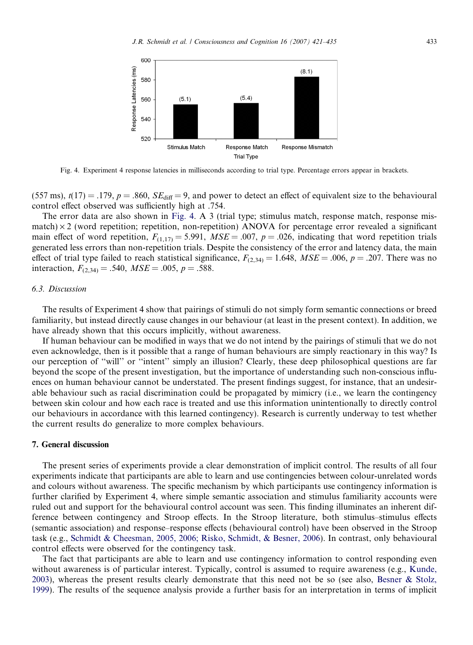<span id="page-12-0"></span>

Fig. 4. Experiment 4 response latencies in milliseconds according to trial type. Percentage errors appear in brackets.

(557 ms),  $t(17) = .179$ ,  $p = .860$ ,  $SE_{diff} = 9$ , and power to detect an effect of equivalent size to the behavioural control effect observed was sufficiently high at .754.

The error data are also shown in Fig. 4. A 3 (trial type; stimulus match, response match, response mismatch)  $\times$  2 (word repetition; repetition, non-repetition) ANOVA for percentage error revealed a significant main effect of word repetition,  $F_{(1,17)} = 5.991$ ,  $MSE = .007$ ,  $p = .026$ , indicating that word repetition trials generated less errors than non-repetition trials. Despite the consistency of the error and latency data, the main effect of trial type failed to reach statistical significance,  $F_{(2,34)} = 1.648$ ,  $MSE = .006$ ,  $p = .207$ . There was no interaction,  $F_{(2,34)} = .540$ ,  $MSE = .005$ ,  $p = .588$ .

## 6.3. Discussion

The results of Experiment 4 show that pairings of stimuli do not simply form semantic connections or breed familiarity, but instead directly cause changes in our behaviour (at least in the present context). In addition, we have already shown that this occurs implicitly, without awareness.

If human behaviour can be modified in ways that we do not intend by the pairings of stimuli that we do not even acknowledge, then is it possible that a range of human behaviours are simply reactionary in this way? Is our perception of ''will'' or ''intent'' simply an illusion? Clearly, these deep philosophical questions are far beyond the scope of the present investigation, but the importance of understanding such non-conscious influences on human behaviour cannot be understated. The present findings suggest, for instance, that an undesirable behaviour such as racial discrimination could be propagated by mimicry (i.e., we learn the contingency between skin colour and how each race is treated and use this information unintentionally to directly control our behaviours in accordance with this learned contingency). Research is currently underway to test whether the current results do generalize to more complex behaviours.

## 7. General discussion

The present series of experiments provide a clear demonstration of implicit control. The results of all four experiments indicate that participants are able to learn and use contingencies between colour-unrelated words and colours without awareness. The specific mechanism by which participants use contingency information is further clarified by Experiment 4, where simple semantic association and stimulus familiarity accounts were ruled out and support for the behavioural control account was seen. This finding illuminates an inherent difference between contingency and Stroop effects. In the Stroop literature, both stimulus–stimulus effects (semantic association) and response–response effects (behavioural control) have been observed in the Stroop task (e.g., [Schmidt & Cheesman, 2005, 2006; Risko, Schmidt, & Besner, 2006\)](#page-14-0). In contrast, only behavioural control effects were observed for the contingency task.

The fact that participants are able to learn and use contingency information to control responding even without awareness is of particular interest. Typically, control is assumed to require awareness (e.g., [Kunde,](#page-14-0) [2003\)](#page-14-0), whereas the present results clearly demonstrate that this need not be so (see also, [Besner & Stolz,](#page-13-0) [1999\)](#page-13-0). The results of the sequence analysis provide a further basis for an interpretation in terms of implicit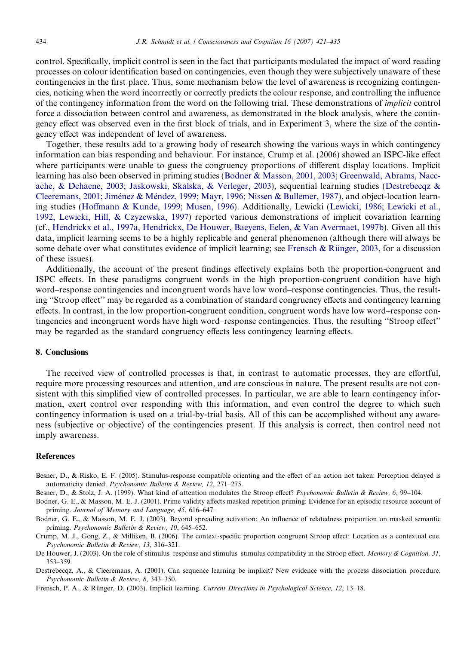<span id="page-13-0"></span>control. Specifically, implicit control is seen in the fact that participants modulated the impact of word reading processes on colour identification based on contingencies, even though they were subjectively unaware of these contingencies in the first place. Thus, some mechanism below the level of awareness is recognizing contingencies, noticing when the word incorrectly or correctly predicts the colour response, and controlling the influence of the contingency information from the word on the following trial. These demonstrations of implicit control force a dissociation between control and awareness, as demonstrated in the block analysis, where the contingency effect was observed even in the first block of trials, and in Experiment 3, where the size of the contingency effect was independent of level of awareness.

Together, these results add to a growing body of research showing the various ways in which contingency information can bias responding and behaviour. For instance, Crump et al. (2006) showed an ISPC-like effect where participants were unable to guess the congruency proportions of different display locations. Implicit learning has also been observed in priming studies (Bodner & Masson, 2001, 2003; Greenwald, Abrams, Naccache, & Dehaene, 2003; Jaskowski, Skalska, & Verleger, 2003), sequential learning studies (Destrebecqz & Cleeremans, 2001; Jiménez & Méndez, 1999; Mayr, 1996; Nissen & Bullemer, 1987), and object-location learning studies [\(Hoffmann & Kunde, 1999; Musen, 1996\)](#page-14-0). Additionally, Lewicki ([Lewicki, 1986; Lewicki et al.,](#page-14-0) [1992, Lewicki, Hill, & Czyzewska, 1997](#page-14-0)) reported various demonstrations of implicit covariation learning (cf., [Hendrickx et al., 1997a, Hendrickx, De Houwer, Baeyens, Eelen, & Van Avermaet, 1997b\)](#page-14-0). Given all this data, implicit learning seems to be a highly replicable and general phenomenon (although there will always be some debate over what constitutes evidence of implicit learning; see Frensch & Rünger, 2003, for a discussion of these issues).

Additionally, the account of the present findings effectively explains both the proportion-congruent and ISPC effects. In these paradigms congruent words in the high proportion-congruent condition have high word–response contingencies and incongruent words have low word–response contingencies. Thus, the resulting ''Stroop effect'' may be regarded as a combination of standard congruency effects and contingency learning effects. In contrast, in the low proportion-congruent condition, congruent words have low word–response contingencies and incongruent words have high word–response contingencies. Thus, the resulting ''Stroop effect'' may be regarded as the standard congruency effects less contingency learning effects.

# 8. Conclusions

The received view of controlled processes is that, in contrast to automatic processes, they are effortful, require more processing resources and attention, and are conscious in nature. The present results are not consistent with this simplified view of controlled processes. In particular, we are able to learn contingency information, exert control over responding with this information, and even control the degree to which such contingency information is used on a trial-by-trial basis. All of this can be accomplished without any awareness (subjective or objective) of the contingencies present. If this analysis is correct, then control need not imply awareness.

## References

- Besner, D., & Risko, E. F. (2005). Stimulus-response compatible orienting and the effect of an action not taken: Perception delayed is automaticity denied. Psychonomic Bulletin & Review, 12, 271–275.
- Besner, D., & Stolz, J. A. (1999). What kind of attention modulates the Stroop effect? Psychonomic Bulletin & Review, 6, 99-104.
- Bodner, G. E., & Masson, M. E. J. (2001). Prime validity affects masked repetition priming: Evidence for an episodic resource account of priming. Journal of Memory and Language, 45, 616–647.
- Bodner, G. E., & Masson, M. E. J. (2003). Beyond spreading activation: An influence of relatedness proportion on masked semantic priming. Psychonomic Bulletin & Review, 10, 645–652.
- Crump, M. J., Gong, Z., & Milliken, B. (2006). The context-specific proportion congruent Stroop effect: Location as a contextual cue. Psychonomic Bulletin & Review, 13, 316–321.
- De Houwer, J. (2003). On the role of stimulus–response and stimulus–stimulus compatibility in the Stroop effect. Memory & Cognition, 31, 353–359.
- Destrebecqz, A., & Cleeremans, A. (2001). Can sequence learning be implicit? New evidence with the process dissociation procedure. Psychonomic Bulletin & Review, 8, 343–350.
- Frensch, P. A., & Rünger, D. (2003). Implicit learning. Current Directions in Psychological Science, 12, 13-18.